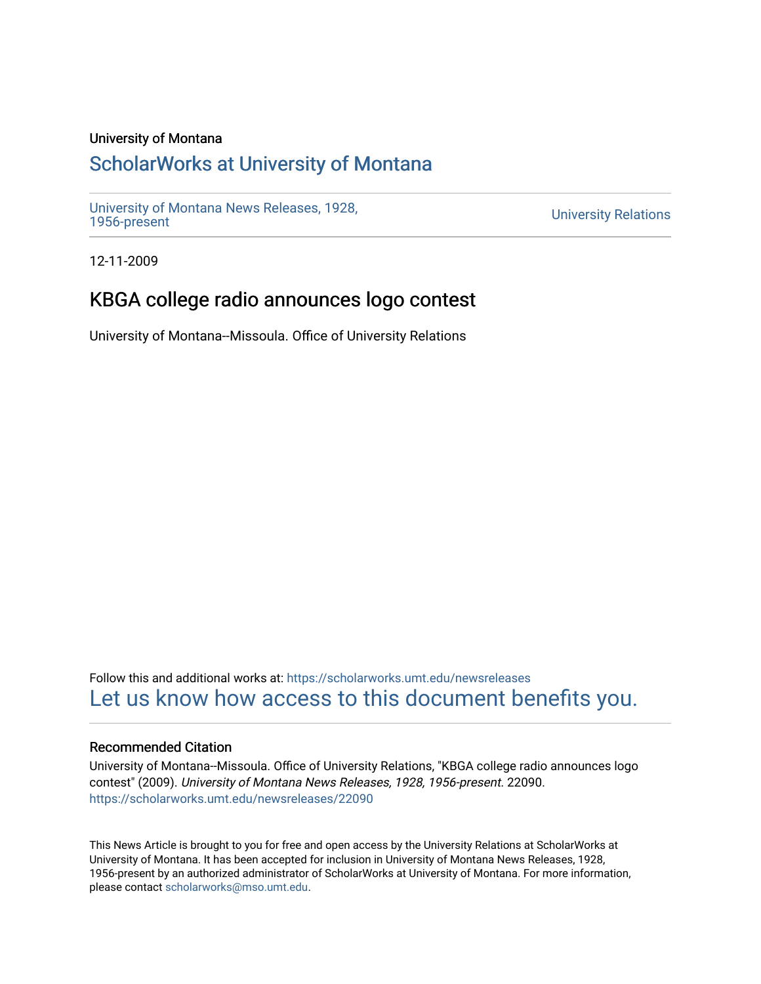#### University of Montana

## [ScholarWorks at University of Montana](https://scholarworks.umt.edu/)

[University of Montana News Releases, 1928,](https://scholarworks.umt.edu/newsreleases) 

**University Relations** 

12-11-2009

# KBGA college radio announces logo contest

University of Montana--Missoula. Office of University Relations

Follow this and additional works at: [https://scholarworks.umt.edu/newsreleases](https://scholarworks.umt.edu/newsreleases?utm_source=scholarworks.umt.edu%2Fnewsreleases%2F22090&utm_medium=PDF&utm_campaign=PDFCoverPages) [Let us know how access to this document benefits you.](https://goo.gl/forms/s2rGfXOLzz71qgsB2) 

#### Recommended Citation

University of Montana--Missoula. Office of University Relations, "KBGA college radio announces logo contest" (2009). University of Montana News Releases, 1928, 1956-present. 22090. [https://scholarworks.umt.edu/newsreleases/22090](https://scholarworks.umt.edu/newsreleases/22090?utm_source=scholarworks.umt.edu%2Fnewsreleases%2F22090&utm_medium=PDF&utm_campaign=PDFCoverPages) 

This News Article is brought to you for free and open access by the University Relations at ScholarWorks at University of Montana. It has been accepted for inclusion in University of Montana News Releases, 1928, 1956-present by an authorized administrator of ScholarWorks at University of Montana. For more information, please contact [scholarworks@mso.umt.edu.](mailto:scholarworks@mso.umt.edu)